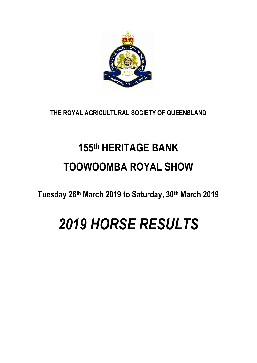

**THE ROYAL AGRICULTURAL SOCIETY OF QUEENSLAND**

# **155th HERITAGE BANK TOOWOOMBA ROYAL SHOW**

**Tuesday 26th March 2019 to Saturday, 30th March 2019**

# *2019 HORSE RESULTS*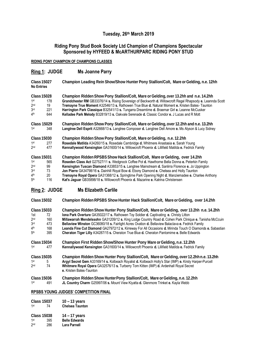# **Tuesday, 26th March 2019**

# **Riding Pony Stud Book Society Ltd Champion of Champions Spectacular Sponsored by HYFEED & McARTHURPARC RIDING PONY STUD**

**RIDING PONY CHAMPION OF CHAMPIONS CLASSES**

|                                                         | Ring 1: JUDGE                                      | <b>Ms Joanne Parry</b>                                                                                                                                                                                                                                                                                                                                                                                                                                                                                                                                                   |  |  |
|---------------------------------------------------------|----------------------------------------------------|--------------------------------------------------------------------------------------------------------------------------------------------------------------------------------------------------------------------------------------------------------------------------------------------------------------------------------------------------------------------------------------------------------------------------------------------------------------------------------------------------------------------------------------------------------------------------|--|--|
| <b>Class 15027</b><br>No Entries                        |                                                    | Champion Leading Rein Show/Show Hunter Pony Stallion/Colt, Mare or Gelding, n.e. 12hh                                                                                                                                                                                                                                                                                                                                                                                                                                                                                    |  |  |
| 1st<br>2 <sub>nd</sub><br>3 <sub>rd</sub><br>4th        | <b>Class 15028</b><br>178<br>19<br>221<br>644      | Champion Ridden Show Pony Stallion/Colt, Mare or Gelding, over 13.2hh and n.e. 14.2hh<br>Grandchester RM GB33376/14 s. Rising Sovereign of Beckworth d. Willowcroft Regal Rhapsody e. Leannda Scott<br>Tremayne True Moment A32546/13 s. Rathowen True Blue d. Natural Moment e. Kristen Bates- Taunton<br>Harrington Park Classique B32541/13 s. Tungarra Dreamtime d. Braemar Girl e. Leanne McCusker<br>Kelladee Park Melody B32819/13 s. Oakvale Serenade d. Classic Condor e. J Lucas and R Mott                                                                    |  |  |
| <b>Class 15029</b><br>348<br>1st                        |                                                    | Champion Ridden Show Pony Stallion/Colt, Mare or Gelding, over 12.2hh and n.e. 13.2hh<br>Langtree Dell Esprit A32668/13 s. Langtree Composer d. Langtree Dell Amore e. Ms Alyson & Lucy Sidney                                                                                                                                                                                                                                                                                                                                                                           |  |  |
| 1st<br>$2^{\mathsf{nd}}$                                | <b>Class 15030</b><br>277<br>477                   | Champion Ridden Show Pony Stallion/Colt, Mare or Gelding, n.e. 12.2hh<br>Rosedale Matilda A34260/15 s. Rosedale Cambridge d. Whitmere Anastasia e. Sarah Young<br>Kennallywood Kensington GA31600/14 s. Willowcroft Phoenix d. Lillifield Matilda e. Fedrick Family                                                                                                                                                                                                                                                                                                      |  |  |
| 1st<br>2 <sub>nd</sub><br>3 <sub>rd</sub><br>4th<br>5th | <b>Class 15031</b><br>565<br>99<br>73<br>20<br>116 | Champion Ridden RPSBS Show Hack Stallion/Colt, Mare or Gelding, over 14.2hh<br>Roseden Class Act G27527/11 s. Wedgnock Coffee Pot d. Hawthorne Bella Donna e. Peterkin Family<br>Kensington Tuscan Diamond A33853/15 s. Langtree Mainstream d. Sanlirra Florence e. Jo Uppington<br>Jon Pierre GA34798/16 s. Dainhill Royal Bow d. Ebony Diamond e. Chelsea and Holly Taunton<br>Tremayne Royal Opera GA31368/12 s. Springtime Park Opening Night d. Manziemadee e. Charlee Anthony<br>Kat's Jaguar GB35898/18 s. Willowcroft Phoenix d. Mazarine e. Katrina Christensen |  |  |

# **Ring 2: JUDGE Ms Elizabeth Carlile**

| <b>Class 15032</b> | Champion Ridden RPSBS Show Hunter Hack Stallion/Colt, Mare or Gelding, over 14.2hh |  |
|--------------------|------------------------------------------------------------------------------------|--|
|--------------------|------------------------------------------------------------------------------------|--|

| 1st<br>2 <sub>nd</sub><br>3rd<br>4 <sup>th</sup><br>5 <sup>th</sup> | <b>Class 15033</b><br>Champion Ridden Show Hunter Pony Stallion/Colt, Mare or Gelding, over 13.2hh n.e. 14.2hh<br><b>Iona Park Overture GA35022/17 s. Rathowen Toy Soldier d. Captivating e. Christy Litton</b><br>72<br>Millawarrah Mendelssohn GA31209/12 s. King Lodge Country Road d. Cohen Park Clinique e. Tanisha McCcuin<br>160<br>Bellaview Winston GC36080/18 s. Fairlight Acres Ovation d. Bellaview Balaclava e. Fedrick Family<br>473<br>Leanda Fine Cut Diamond GA27972/12 s. Kirreway For All Occasions d. Mirinda Touch O Diamonds e. Sabastian<br>168<br>Cheraton Tiger Lilly A34287/15 s. Cheraton True Blue d. Cheraton Pantomime e. Belle Edwards<br>395 |                                                                                                                                                                                                                                                                                                                           |
|---------------------------------------------------------------------|------------------------------------------------------------------------------------------------------------------------------------------------------------------------------------------------------------------------------------------------------------------------------------------------------------------------------------------------------------------------------------------------------------------------------------------------------------------------------------------------------------------------------------------------------------------------------------------------------------------------------------------------------------------------------|---------------------------------------------------------------------------------------------------------------------------------------------------------------------------------------------------------------------------------------------------------------------------------------------------------------------------|
| <b>Class 15034</b><br>1st                                           | 477                                                                                                                                                                                                                                                                                                                                                                                                                                                                                                                                                                                                                                                                          | Champion First Ridden Show/Show Hunter Pony Mare or Gelding, n.e. 12.2hh<br>Kennallywood Kensington GA31600/14 s. Willowcroft Phoenix d. Lillifield Matilda e. Fedrick Family                                                                                                                                             |
| <b>Class 15035</b><br>1st<br>2 <sub>nd</sub>                        | 5<br>74                                                                                                                                                                                                                                                                                                                                                                                                                                                                                                                                                                                                                                                                      | Champion Ridden Show Hunter Pony Stallion/Colt, Mare or Gelding, over 12.2hh n.e. 13.2hh<br>Argyl Secret Gem A33169/14 s. Kolbeach Royalist d. Kolbeach Holly's Star (IMP) e. Kirsty Harper-Purcell<br>Whitmere Royal Opera GA32576/13 s. Turberry Tom Kitten (IMP) d. Ardenhall Royal Secret<br>e. Kristen Bates-Taunton |
| <b>Class 15036</b><br>1st                                           | 491                                                                                                                                                                                                                                                                                                                                                                                                                                                                                                                                                                                                                                                                          | Champion Ridden Show Hunter Pony Stallion/Colt, Mare or Gelding, n.e. 12.2hh<br>JL Country Charm G25997/06 s. Mount View Kiyatta d. Glenmore Trinket e. Kayla Webb                                                                                                                                                        |

#### **RPSBS YOUNG JUDGES' COMPETITION FINAL**

|                 | <b>Class 15037</b> | $10 - 13$ years        |  |
|-----------------|--------------------|------------------------|--|
| 1st<br>74       |                    | <b>Chelsea Taunton</b> |  |
|                 | <b>Class 15038</b> | $14 - 17$ years        |  |
| 1st             | 395                | <b>Belle Edwards</b>   |  |
| 2 <sub>nd</sub> | 286                | <b>Lara Parnell</b>    |  |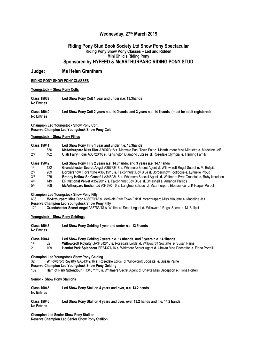#### **Wednesday, 27th March 2019**

#### **Riding Pony Stud Book Society Ltd Show Pony Spectacular Riding Pony Show Pony Classes – Led and Ridden Mini Child's Riding Pony Sponsored by HYFEED & McARTHURPARC RIDING PONY STUD**

#### **Judge: Ms Helen Grantham**

#### **RIDING PONY SHOW PONY CLASSES**

#### **Youngstock – Show Pony Colts**

**Class 15039 Led Show Pony Colt 1 year and under n.e. 13.3hands No Entries**

**Class 15040 Led Show Pony Colt 2 years n.e. 14.0hands, and 3 years n.e. 14.1hands (must be adult registered) No Entries**

**Champion Led Youngstock Show Pony Colt Reserve Champion Led Youngstock Show Pony Colt** 

#### **Youngstock – Show Pony Fillies**

|                 | <b>Class 15041</b> | Led Show Pony Filly 1 year and under n.e. 13.3hands                                                        |
|-----------------|--------------------|------------------------------------------------------------------------------------------------------------|
| 1st             | 636                | McArthurparc Miss Dior A36070/18 s. Merivale Park Town Fair d. Mcarthurparc Miss Minuette e. Madeline Jelf |
| 2 <sub>nd</sub> | 462                | Ulah Fairy Floss A35720/18 s. Kensington Diamond Jubilee d. Rosedale Olympia e. Fleming Family             |
|                 | <b>Class 15042</b> | Led Show Pony Filly 2 years n.e. 14.0hands, and 3 years n.e. 14.1hands                                     |
| 1st             | 122                | Grandchester Secret Angel A35783/18 s. Whitmere Secret Agent d. Willowcroft Regal Secret e. M. Bullpitt    |
| 2 <sub>nd</sub> | 289                | Bordershow Florentine A36015/18 s. Falconhurst Boy Blue d. Bordershow Footloose e. Lynnelle Proud          |
| 3rd             | 279                | Brandy Hollow So Graceful A34698/16 s. Whitmere Special Agent d. Whitmere Ever Graceful e. Ruby Knudsen    |
| 4 <sup>th</sup> | 149                | EP National Velvet A35290/17 s. Falconhurst Boy Blue d. Britashell e. Amanda Phillips                      |
| 5th             | 368                | McArthurparc Enchanted A34670-16 s. Langtree Eclipse d. Mcarthurparc Eloquience e. K Harper-Purcell        |

#### **Champion Led Youngstock Show Pony Filly**

636 **McArthurparc Miss Dior** A36070/18 **s.** Merivale Park Town Fair **d.** Mcarthurparc Miss Minuette **e.** Madeline Jelf **Reserve Champion Led Youngstock Show Pony Filly**

122 **Grandchester Secret Angel** A35783/18 **s.** Whitmere Secret Agent **d.** Willowcroft Regal Secret **e.** M. Bullpitt

#### **Youngstock – Show Pony Geldings**

| Class 15043<br>No Entries | Led Show Pony Gelding 1 year and under n.e. 13.3 hands                                                                                                               |  |
|---------------------------|----------------------------------------------------------------------------------------------------------------------------------------------------------------------|--|
| Class 15044<br>1st        | Led Show Pony Gelding 2 years n.e. 14.0hands, and 3 years n.e. 14.1hands<br>Willowcroft Royalty GA34342/16 s. Rosedale Lords d. Willowcroft Socialite e. Susan Paine |  |

2 nd 109 **Hamlot Park Splendour** FR34371/16 **s.** Whitmere Secret Agent **d.** Uhavta Miss Deception **e.** Fiona Portelli

**Champion Led Youngstock Show Pony Gelding** 

32 **Willowcroft Royalty** GA34342/16 **s.** Rosedale Lords **d.** Willowcroft Socialite **e.** Susan Paine

**Reserve Champion Led Youngstock Show Pony Gelding** 

109 **Hamlot Park Splendour** FR34371/16 **s.** Whitmere Secret Agent **d.** Uhavta Miss Deception **e.** Fiona Portelli

#### **Senior - Show Pony Stallions**

| <b>Class 15045</b><br><b>No Entries</b> | Led Show Pony Stallion 4 years and over, n.e. 13.2 hands                     |
|-----------------------------------------|------------------------------------------------------------------------------|
| <b>Class 15046</b><br><b>No Entries</b> | Led Show Pony Stallion 4 years and over, over 13.2 hands and n.e. 14.2 hands |

**Champion Led Senior Show Pony Stallion Reserve Champion Led Senior Show Pony Stallion**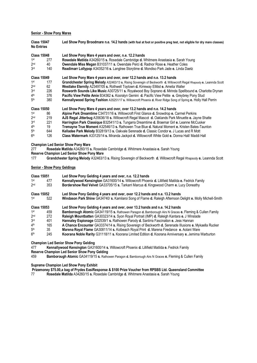#### **Senior - Show Pony Mares**

| <b>Class 15047</b><br><b>No Entries</b> |     | Led Show Pony Broodmare n.e. 14.2 hands (with foal at foot or positive preg test, not eligible for dry mare classes) |  |  |
|-----------------------------------------|-----|----------------------------------------------------------------------------------------------------------------------|--|--|
| <b>Class 15048</b>                      |     | Led Show Pony Mare 4 years and over, n.e. 12.2 hands                                                                 |  |  |
| 1st                                     | 277 | Rosedale Matilda A34260/15 s. Rosedale Cambridge d. Whitmere Anastasia e. Sarah Young                                |  |  |
| 2 <sub>nd</sub>                         | 40  | <b>Owendale Miss Megan B31037/11 s. Owendale Perci d. Radnor Rose e. Heather Coles</b>                               |  |  |
| 3 <sub>rd</sub>                         | 140 | Readimarr Lollypop A34352/16 s. Langtree Storytime d. Mondiso Park Jade e. Linda Daetz                               |  |  |
| <b>Class 15049</b>                      |     | Led Show Pony Mare 4 years and over, over 12.2 hands and n.e. 13.2 hands                                             |  |  |
| 1st                                     | 177 | Grandchester Spring Melody A32463/13 s. Rising Soveregin of Beckworth d. Willowcroft Regal Rhapsody e. Leannda Scott |  |  |
| 2 <sub>nd</sub>                         | 62  | Westlake Eternity A23497/05 s. Rothwell Toytown d. Kirreway Ellitist e. Amelia Waller                                |  |  |
| 3 <sub>rd</sub>                         | 226 | Rosworth Sounds Like Music A30725/11 s. Royalwood Boy Soprano d. Mirinda Spellbound e. Charlotte Drynan              |  |  |
| 4 <sup>th</sup>                         | 376 | Pacific View Petite Amie B34362 s. Kooralyn Gemini d. Pacific View Petite e. Greybrey Pony Stud                      |  |  |
| 5 <sup>th</sup>                         | 380 | Kennallywood Spring Fashion A35251/17 s. Willowcroft Phoenix d. River Ridge Song of Spring e. Holly Hall Perrin      |  |  |
| <b>Class 15050</b>                      |     | Led Show Pony Mare 4 years and over, over 13.2 hands and n.e. 14.2 hands                                             |  |  |
| 1st                                     | 86  | Alpine Park Dreamtime C34731/16 s. Willowcroft First Glance d. Snowdrop e. Carmel Perkins                            |  |  |
| 2 <sub>nd</sub>                         | 219 | AJS Regal Jitterbug A35636/18 s. Willowcroft Regal Mascot d. Oaklands Park Minuette e. Jayne Shatte                  |  |  |
| 3 <sub>rd</sub>                         | 221 | Harrington Park Classique B32541/13 s. Tungarra Dreamtime d. Braemar Girl e. Leanne McCusker                         |  |  |
| 4 <sup>th</sup>                         | 19  | Tremayne True Moment A32546/13 s. Rathowen True Blue d. Natural Moment e. Kristen Bates-Taunton                      |  |  |
| 5 <sup>th</sup>                         | 644 | Kelladee Park Melody B32819/13 s. Oakvale Serenade d. Classic Condor e. J Lucas and R Mott                           |  |  |
| 6 <sup>th</sup>                         | 126 | Class Watermark A33125/14 s. Miranda Jackpot d. Willowcroft White Gold e. Donna Hall/ Maddi Hall                     |  |  |

**Champion Led Senior Show Pony Mare** 

277 **Rosedale Matilda** A34260/15 **s.** Rosedale Cambridge **d.** Whitmere Anastasia **e.** Sarah Young **Reserve Champion Led Senior Show Pony Mare** 

- 
- 177 **Grandchester Spring Melody** A32463/13 **s.** Rising Soveregin of Beckworth **d.** Willowcroft Regal Rhapsody **e.** Leannda Scott

#### **Senior - Show Pony Geldings**

| <b>Class 15051</b> |     | Led Show Pony Gelding 4 years and over, n.e. 12.2 hands                                                     |  |  |
|--------------------|-----|-------------------------------------------------------------------------------------------------------------|--|--|
| 1st                | 477 | Kennallywood Kensington GA31600/14 s. Willowcroft Phoenix d. Lillifield Matilda e. Fedrick Family           |  |  |
| 2 <sub>nd</sub>    | 353 | Bordershow Red Velvet GA33705/15 s. Tarkarri Marcus d. Kingswood Charm e. Lucy Doneathy                     |  |  |
| <b>Class 15052</b> |     | Led Show Pony Gelding 4 years and over, over 12.2 hands and n.e. 13.2 hands                                 |  |  |
| 1st                | 522 | Windason Park Shine GA34740/ s. Kamilaroi Song of Flame d. Raleigh Afternoon Delight e. Molly Michell-Smith |  |  |
| <b>Class 15053</b> |     | Led Show Pony Gelding 4 years and over, over 13.2 hands and n.e. 14.2 hands                                 |  |  |
| 1st                | 459 | Bamborough Atomic GA34119/15 s. Rathowen Paragon d. Bamborough Airs N Graces e. Fleming & Cullen Family     |  |  |
| 2 <sub>nd</sub>    | 272 | Raleigh Mountbatten GA30323/14 s. Syon Royal Portrait (IMP) d. Raleigh Kantara e. J Winslade                |  |  |
| 3rd                | 401 | Hannaley Espionage G32539/1 s. Rathowen Parody d. Sanlirra Fascination e. Jess Hannan                       |  |  |
| 4 <sup>th</sup>    | 165 | A Chance Encounter GA33374/14 s. Rising Sovereign of Beckworth d. Serenade Illusions e. Mykaella Rucker     |  |  |
| 5 <sup>th</sup>    | 35  | Marena Royal Flame GA30811/14 s. Kolbeach Royal Print d. Marena Firedance e. Aolani Ware                    |  |  |
| 6 <sup>th</sup>    | 245 | Koorana Noble Rarity G31118/11 s. Koorana Limited Edition d. Koorana Anniversary e. Jemima Warburton        |  |  |

**Champion Led Senior Show Pony Gelding** 

477 **Kennallywood Kensington** GA31600/14 **s.** Willowcroft Phoenix **d.** Lillifield Matilda **e.** Fedrick Family

**Reserve Champion Led Senior Show Pony Gelding** 

459 **Bamborough Atomic** GA34119/15 **s.** Rathowen Paragon **d.** Bamborough Airs N Graces **e.** Fleming & Cullen Family

**Supreme Champion Led Show Pony Exhibit**

**Prizemoney \$75.00,a bag of Prydes EasiResponse & \$100 Prize Voucher from RPSBS Ltd. Queensland Committee**

77 **Rosedale Matilda** A34260/15 **s.** Rosedale Cambridge **d.** Whitmere Anastasia **e.** Sarah Young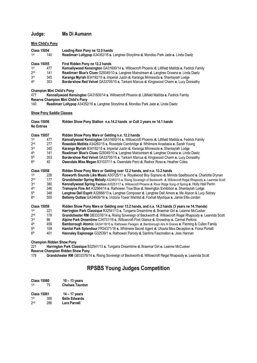# **Judge: Ms Di Aumann**

#### **Mini Child's Pony**

| <b>Class 15054</b> |                    | Leading Rein Pony ne 12.0 hands                                                                   |  |
|--------------------|--------------------|---------------------------------------------------------------------------------------------------|--|
| 1st                | 140                | Readimarr Lollypop A34352/16 s. Langtree Storytime d. Mondiso Park Jade e. Linda Daetz            |  |
|                    | <b>Class 15055</b> | First Ridden Pony ne 12.2 hands                                                                   |  |
| 1st                | 477                | Kennallywood Kensington GA31600/14 s. Willowcroft Phoenix d. Lillifield Matilda e. Fedrick Family |  |
| 2 <sub>nd</sub>    | 141                | Readimarr Blue's Clues G29345/10 s. Langtree Mainstream d. Langtree Oceana e. Linda Daetz         |  |
| 3 <sub>rd</sub>    | 345                | Karanga Myriah B34192/15 s. Imperial Justin d. Karanga Minnesota e. Shantaylah Lodge              |  |
| 4th                | 353                | Bordershow Red Velvet GA33705/15 s. Tarkarri Marcus d. Kingswood Charm e. Lucy Doneathy           |  |

**Champion Mini Child's Pony** 

477 **Kennallywood Kensington** GA31600/14 **s.** Willowcroft Phoenix **d.** Lillifield Matilda **e.** Fedrick Family **Reserve Champion Mini Child's Pony<br>140 Readimarr Lollypop A34352** 

140 **Readimarr Lollypop** A34352/16 **s.** Langtree Storytime **d.** Mondiso Park Jade **e.** Linda Daetz

**Show Pony Saddle Classes** 

| <b>Class 15056</b><br><b>No Entries</b> |     | Ridden Show Pony Stallion n.e.14.2 hands or Colt 3 years ne 14.1 hands                                               |  |
|-----------------------------------------|-----|----------------------------------------------------------------------------------------------------------------------|--|
| <b>Class 15057</b>                      |     | Ridden Show Pony Mare or Gelding n.e. 12.2 hands                                                                     |  |
| 1st                                     | 477 | Kennallywood Kensington GA31600/14 s. Willowcroft Phoenix d. Lillifield Matilda e. Fedrick Family                    |  |
| 2 <sub>nd</sub>                         | 277 | Rosedale Matilda A34260/15 s. Rosedale Cambridge d. Whitmere Anastasia e. Sarah Young                                |  |
| 3 <sub>rd</sub>                         | 345 | Karanga Myriah B34192/15 s. Imperial Justin d. Karanga Minnesota e. Shantaylah Lodge                                 |  |
| 4 <sup>th</sup>                         | 141 | Readimarr Blue's Clues G29345/10 s. Langtree Mainstream d. Langtree Oceana e. Linda Daetz                            |  |
| 5 <sup>th</sup>                         | 353 | Bordershow Red Velvet GA33705/15 s. Tarkarri Marcus d. Kingswood Charm e. Lucy Doneathy                              |  |
| 6 <sup>th</sup>                         | 40  | <b>Owendale Miss Megan B31037/11 s. Owendale Perci d. Radnor Rose e. Heather Coles</b>                               |  |
| <b>Class 15058</b>                      |     | Ridden Show Pony Mare or Gelding over 12.2 hands, and n.e. 13.2 hands                                                |  |
| 1st                                     | 226 | Rosworth Sounds Like Music A30725/11 s. Royalwood Boy Soprano d. Mirinda Spellbound e. Charlotte Drynan              |  |
| 2 <sub>nd</sub>                         | 177 | Grandchester Spring Melody A32463/13 s. Rising Soveregin of Beckworth d. Willowcroft Regal Rhapsody e. Leannda Scott |  |
| 3 <sub>rd</sub>                         | 380 | Kennallywood Spring Fashion A35251/17 s. Willowcroft Phoenix d. River Ridge Song of Spring e. Holly Hall Perrin      |  |
| 4 <sup>th</sup>                         | 346 | Tremayne Fine Art A32964/14 s. Rathowen True Blue d. Newington Exhibition e. Shantaylah Lodge                        |  |
| 5 <sup>th</sup>                         | 348 | Langtree Dell Esprit A32668/13 s. Langtree Composer d. Langtree Dell Amore e. Ms Alyson & Lucy Sidney                |  |
| 6 <sup>th</sup>                         | 555 | Bellemy Outlaw GA34609/16 s. Victoria Tower Wishlist d. Foxhall Mystique e. Jamie Ellis-Jorden                       |  |
| <b>Class 15059</b>                      |     | Ridden Show Pony Mare or Gelding over 13.2 hands, and n.e. 14.2 hands (3 years ne 14.1 hands)                        |  |
| 1st                                     | 221 | Harrington Park Classique B32541/13 s. Tungarra Dreamtime d. Braemar Girl e. Leanne McCusker                         |  |
| 2 <sub>nd</sub>                         | 178 | Grandchester RM GB33376/14 s. Rising Sovereign of Beckworth d. Willowcroft Regal Rhapsody e. Leannda Scott           |  |
| 3 <sub>rd</sub>                         | 86  | Alpine Park Dreamtime C34731/16 s. Willowcroft First Glance d. Snowdrop e. Carmel Perkins                            |  |
| 4 <sup>th</sup>                         | 459 | Bamborough Atomic GA34119/15 s. Rathowen Paragon d. Bamborough Airs N Graces e. Fleming & Cullen Family              |  |
| 5 <sup>th</sup>                         | 109 | Hamlot Park Splendour FR34371/16 s. Whitmere Secret Agent d. Uhavta Miss Deception e. Fiona Portelli                 |  |
| 6 <sup>th</sup>                         | 401 | Hannaley Espionage G32539/1 s. Rathowen Parody d. Sanlirra Fascination e. Jess Hannan                                |  |

**Champion Ridden Show Pony**

221 **Harrington Park Classique** B32541/13 **s.** Tungarra Dreamtime **d.** Braemar Girl **e.** Leanne McCusker

**Reserve Champion Ridden Show Pony** 

178 **Grandchester RM** GB33376/14 **s.** Rising Sovereign of Beckworth **d.** Willowcroft Regal Rhapsody **e.** Leannda Scott

# **RPSBS Young Judges Competition**

| <b>Class 15060</b> |     | $10 - 13$ years        |  |
|--------------------|-----|------------------------|--|
| 1 <sup>st</sup>    | 75  | <b>Chelsea Taunton</b> |  |
| <b>Class 15061</b> |     | 14 – 17 years          |  |
| 1st                | 395 | <b>Belle Edwards</b>   |  |
| 2 <sub>nd</sub>    | 286 | Lara Parnell           |  |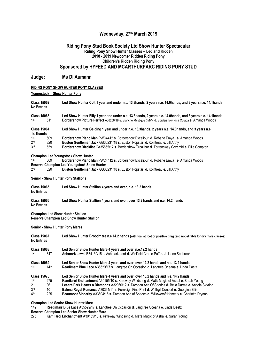# **Wednesday, 27th March 2019**

#### **Riding Pony Stud Book Society Ltd Show Hunter Spectacular Riding Pony Show Hunter Classes – Led and Ridden 2018 - 2019 Newcomer Ridden Riding Pony Children's Ridden Riding Pony Sponsored by HYFEED AND MCARTHURPARC RIDING PONY STUD**

#### **Judge: Ms Di Aumann**

#### **RIDING PONY SHOW HUNTER PONY CLASSES**

#### **Youngstock – Show Hunter Pony**

| <b>Class 15062</b><br><b>No Entries</b> |     | Led Show Hunter Colt 1 year and under n.e. 13.3hands, 2 years n.e. 14.0hands, and 3 years n.e. 14.1hands                                                                                                              |
|-----------------------------------------|-----|-----------------------------------------------------------------------------------------------------------------------------------------------------------------------------------------------------------------------|
| <b>Class 15063</b><br>1st               | 511 | Led Show Hunter Filly 1 year and under n.e. 13.3hands, 2 years n.e. 14.0hands, and 3 years n.e. 14.1hands<br>Bordershow Picture Perfect A36206/19 s. Blanche Mystique (IMP) d. Bordershow Pina Colada e. Amanda Woods |
| <b>Class 15064</b><br>14.1hands         |     | Led Show Hunter Gelding 1 year and under n.e. 13.3hands, 2 years n.e. 14.0hands, and 3 years n.e.                                                                                                                     |
| $1$ st                                  | 509 | <b>Bordershow Piano Man PWC4412 s. Bordershow Excalibur d. Robarie Emya e. Amanda Woods</b>                                                                                                                           |
| 2 <sub>nd</sub>                         | 320 | Euston Gentleman Jack GB36231/18 s. Euston Popstar d. Kointreau e. Jill Arthy                                                                                                                                         |
| 3 <sub>rd</sub>                         | 559 | Bordershow Blacklist GA35555/17 s. Bordershow Excalibur d. Torrensway Covergirl e. Ellie Compton                                                                                                                      |

# **Champion Led Youngstock Show Hunter** 1st 609 **Bordershow Piano M**

1<sub>st</sub> st 509 **Bordershow Piano Man** PWC4412 **s.** Bordershow Excalibur **d.** Robarie Emya **e.** Amanda Woods **Reserve Champion Led Youngstock Show Hunter**

| 2 <sub>nd</sub> | 320 | Euston Gentleman Jack GB36231/18 s. Euston Popstar d. Kointreau e. Jill Arthy |  |  |  |  |
|-----------------|-----|-------------------------------------------------------------------------------|--|--|--|--|
|-----------------|-----|-------------------------------------------------------------------------------|--|--|--|--|

#### **Senior - Show Hunter Pony Stallions**

**Class 15065 Led Show Hunter Stallion 4 years and over, n.e. 13.2 hands No Entries**

**Class 15066 Led Show Hunter Stallion 4 years and over, over 13.2 hands and n.e. 14.2 hands No Entries**

**Champion Led Show Hunter Stallion** 

**Reserve Champion Led Show Hunter Stallion** 

#### **Senior - Show Hunter Pony Mares**

| <b>Class 15067</b><br><b>No Entries</b>                                            |                        | Led Show Hunter Broodmare n.e 14.2 hands (with foal at foot or positive preg test, not eligible for dry mare classes)                                                                                                                                                                                                                                                                                                                                                                      |  |  |
|------------------------------------------------------------------------------------|------------------------|--------------------------------------------------------------------------------------------------------------------------------------------------------------------------------------------------------------------------------------------------------------------------------------------------------------------------------------------------------------------------------------------------------------------------------------------------------------------------------------------|--|--|
| <b>Class 15068</b><br>1st                                                          | 647                    | Led Senior Show Hunter Mare 4 years and over, n.e.12.2 hands<br>Ashmark Jewel B34130/15 s. Ashmark Lord d. Winifield Creme Puff e. Julianne Seabrook                                                                                                                                                                                                                                                                                                                                       |  |  |
| <b>Class 15069</b><br>1st                                                          | 142                    | Led Senior Show Hunter Mare 4 years and over, over 12.2 hands and n.e. 13.2 hands<br>Readimarr Blue Lace A35529/17 s. Langtree On Occasion d. Langtree Oceana e. Linda Daetz                                                                                                                                                                                                                                                                                                               |  |  |
| <b>Class 15070</b><br>1st<br>2 <sub>nd</sub><br>3 <sub>rd</sub><br>4 <sup>th</sup> | 275<br>36<br>10<br>225 | Led Senior Show Hunter Mare 4 years and over, over 13.2 hands and n.e. 14.2 hands<br>Kamilaroi Enchantment A30155/10 s. Kirreway Windsong d. Mat's Magic of Astral e. Sarah Young<br>Leeara Park Hearts n Diamonds A32060/12 s. Dresden Ace Of Spades d. Bella Darma e. Angela Skyring<br>Balena Regal Romance A30364/11 s. Fernleigh Fine Print d. Writhgil Concert e. Georgina Ellis<br>Beaumont Sincerity A33694/15 s. Dresden Ace of Spades d. Willowcroft Honesty e. Charlotte Drynan |  |  |

**Champion Led Senior Show Hunter Mare** 

142 **Readimarr Blue Lace** A35529/17 **s.** Langtree On Occasion **d.** Langtree Oceana **e.** Linda Daetz

**Reserve Champion Led Senior Show Hunter Mare** 

275 **Kamilaroi Enchantment** A30155/10 **s.** Kirreway Windsong **d.** Mat's Magic of Astral **e.** Sarah Young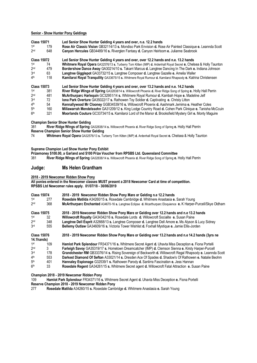#### **Senior - Show Hunter Pony Geldings**

| <b>Class 15071</b><br>1st<br>2 <sub>nd</sub> | 179<br>648 | Led Senior Show Hunter Gelding 4 years and over, n.e. 12.2 hands<br>Rose Air Classic Vision GB32114/13 s. Mondiso Park Envision d. Rose Air Painted Classique e. Leannda Scott<br>Canyon Hercules GB34489/16 s. Riverglen Fantasy d. Canyon Heirloom e. Julianne Seabrook |
|----------------------------------------------|------------|---------------------------------------------------------------------------------------------------------------------------------------------------------------------------------------------------------------------------------------------------------------------------|
| <b>Class 15072</b>                           |            | Led Senior Show Hunter Gelding 4 years and over, over 12.2 hands and n.e. 13.2 hands                                                                                                                                                                                      |
| 1st                                          | 74         | Whitmere Royal Opera GA32576/13 s. Turberry Tom Kitten (IMP) d. Ardenhall Royal Secret e. Chelsea & Holly Taunton                                                                                                                                                         |
| 2 <sub>nd</sub>                              | 479        | Bordershow Dance Away GA30214/10 s. Takarri Marcus d. Langtree Dancing In The Dark e. Indiana Johnson                                                                                                                                                                     |
| 3rd                                          | 63         | Langtree Gigglepot GA33732/15 s. Langtree Composer d. Langtree Gazelle e. Amelia Waller                                                                                                                                                                                   |
| 4 <sup>th</sup>                              | 118        | Kamilaroi Royal Tranquility GA33675/15 s. Whitmere Royal Rumour d. Kamilaroi Rhapsody e. Katrina Christensen                                                                                                                                                              |
| <b>Class 15073</b>                           |            | Led Senior Show Hunter Gelding 4 years and over, over 13.2 hands and n.e. 14.2 hands                                                                                                                                                                                      |
| 1st                                          | 381        | River Ridge Wings of Spring GA32838/14 s. Willowcroft Phoenix d. River Ridge Song of Spring e. Holly Hall Perrin                                                                                                                                                          |
| 2 <sub>nd</sub>                              | 481        | McArthurparc Harlequin GC32951/14 s. Whitmere Royal Rumour d. Kambah Hope e. Madeline Jelf                                                                                                                                                                                |
| 3rd                                          | 72         | <b>Iona Park Overture GA35022/17 s. Rathowen Toy Soldier d. Captivating e. Christy Litton</b>                                                                                                                                                                             |
| 4 <sup>th</sup>                              | 54         | Kennallywood Mr Clooney GGB34539/16 s. Willowcroft Phoenix d. Aashmark Jemima e. Heather Coles                                                                                                                                                                            |
| 5 <sup>th</sup>                              | 160        | Millawarrah Mendelssohn GA31209/12 s. King Lodge Country Road d. Cohen Park Clinique e. Tanisha McCcuin                                                                                                                                                                   |
| 6 <sup>th</sup>                              | 321        | Moorlands Couture GC33734/15 s. Kamilaroi Lord of the Manor d. Brooksfield Mystery Girl e. Monty Maguire                                                                                                                                                                  |

**Champion Senior Show Hunter Gelding** 

381 **River Ridge Wings of Spring** GA32838/14 **s.** Willowcroft Phoenix **d.** River Ridge Song of Spring **e.** Holly Hall Perrin **Reserve Champion Senior Show Hunter Gelding**<br> **74** Whitmere Royal Opera GA32576/13 s. Tu

74 **Whitmere Royal Opera** GA32576/13 **s.** Turberry Tom Kitten (IMP) **d.** Ardenhall Royal Secret **e.** Chelsea & Holly Taunton

**Supreme Champion Led Show Hunter Pony Exhibit** 

**Prizemoney \$100.00, a Garland and \$100 Prize Voucher from RPSBS Ltd. Queensland Committee** 381 **River Ridge Wings of Spring** GA32838/14 **s.** Willowcroft Phoenix **d.** River Ridge Song of Spring **e.** Holly Hall Perrin

### **Judge: Ms Helen Grantham**

#### **2018 - 2019 Newcomer Ridden Show Pony**

**All ponies entered in the Newcomer classes MUST present a 2018 Newcomer Card at time of competition. RPSBS Ltd Newcomer rules apply. 01/07/18 - 30/06/2019**

| <b>Class 15074</b><br>$1$ st | 277 | 2018 - 2019 Newcomer Ridden Show Pony Mare or Gelding n.e 12.2 hands<br>Rosedale Matilda A34260/15 s. Rosedale Cambridge d. Whitmere Anastasia e. Sarah Young                                                     |
|------------------------------|-----|-------------------------------------------------------------------------------------------------------------------------------------------------------------------------------------------------------------------|
| 2 <sub>nd</sub>              | 368 | McArthurparc Enchanted A34670-16 s. Langtree Eclipse d. Mcarthurparc Eloquience e. K Harper-Purcell/Skye Oldham                                                                                                   |
| <b>Class 15075</b>           |     | 2018 - 2019 Newcomer Ridden Show Pony Mare or Gelding over 12.2 hands and n.e 13.2 hands                                                                                                                          |
| 1st                          | 32  | Willowcroft Royalty GA34342/16 s. Rosedale Lords d. Willowcroft Socialite e. Susan Paine                                                                                                                          |
| 2 <sub>nd</sub>              | 348 | Langtree Dell Esprit A32668/13 s. Langtree Composer d. Langtree Dell Amore e. Ms Alyson & Lucy Sidney                                                                                                             |
| 3rd                          | 555 | Bellemy Outlaw GA34609/16 s. Victoria Tower Wishlist d. Foxhall Mystique e. Jamie Ellis-Jorden                                                                                                                    |
|                              |     |                                                                                                                                                                                                                   |
| <b>Class 15076</b>           |     | 2018 - 2019 Newcomer Ridden Show Pony Mare or Gelding over 13.2 hands and n.e 14.2 hands (3yrs ne                                                                                                                 |
| 14.1hands)                   |     |                                                                                                                                                                                                                   |
| 1st                          | 109 | Hamlot Park Splendour FR34371/16 s. Whitmere Secret Agent d. Uhavta Miss Deception e. Fiona Portelli                                                                                                              |
| 2 <sub>nd</sub>              | 3   |                                                                                                                                                                                                                   |
| 3rd                          | 178 | Farleigh Savoy GA35319/17 s. Hometown Dreamcatcher (IMP) d. Clemson Sienna e. Kirsty Harper-Purcell<br>Grandchester RM GB33376/14 s. Rising Sovereign of Beckworth d. Willowcroft Regal Rhapsody e. Leannda Scott |
| 4 <sup>th</sup>              | 553 | Darkest Diamond Of Sefton A33021/14 s. Dresden Ace Of Spades d. Shadow's Of Rathowen e. Natalie Beohm                                                                                                             |
| 5 <sup>th</sup>              | 401 | Hannaley Espionage G32539/1 s. Rathowen Parody d. Sanlirra Fascination e. Jess Hannan                                                                                                                             |

**Champion 2018 - 2019 Newcomer Ridden Pony** 

109 **Hamlot Park Splendour** FR34371/16 **s.** Whitmere Secret Agent **d.** Uhavta Miss Deception **e.** Fiona Portelli **Reserve Champion 2018 - 2019 Newcomer Ridden Pony** 

277 **Rosedale Matilda** A34260/15 **s.** Rosedale Cambridge **d.** Whitmere Anastasia **e.** Sarah Young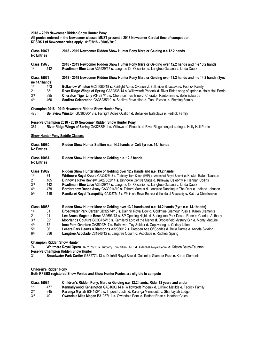#### **2018 – 2019 Newcomer Ridden Show Hunter Pony**

**All ponies entered in the Newcomer classes MUST present a 2018 Newcomer Card at time of competition. RPSBS Ltd Newcomer rules apply. 01/07/18 - 30/06/2019**

| <b>Class 15077</b><br><b>No Entries</b> |     | 2018 - 2019 Newcomer Ridden Show Hunter Pony Mare or Gelding n.e 12.2 hands                                                                                                                |
|-----------------------------------------|-----|--------------------------------------------------------------------------------------------------------------------------------------------------------------------------------------------|
| <b>Class 15078</b><br>1st               | 142 | 2018 - 2019 Newcomer Ridden Show Hunter Pony Mare or Gelding over 12.2 hands and n.e 13.2 hands<br>Readimarr Blue Lace A35529/17 s. Langtree On Occasion d. Langtree Oceana e. Linda Daetz |
| <b>Class 15079</b><br>ne 14.1hands)     |     | 2018 - 2019 Newcomer Ridden Show Hunter Pony Mare or Gelding over 13.2 hands and n.e 14.2 hands (3yrs                                                                                      |
| 1st                                     | 473 | Bellaview Winston GC36080/18 s. Fairlight Acres Ovation d. Bellaview Balaclava e. Fedrick Family                                                                                           |
| 2 <sub>nd</sub>                         | 381 | River Ridge Wings of Spring GA32838/14 s. Willowcroft Phoenix d. River Ridge song of spring e. Holly Hall Perrin                                                                           |
| 3 <sub>rd</sub>                         | 395 | <b>Cheraton Tiger Lilly A34287/15 s. Cheraton True Blue d. Cheraton Pantomime e. Belle Edwards</b>                                                                                         |
| 4 <sup>th</sup>                         | 460 | <b>Sanlirra Celebration</b> GA36235/19 s. Sanlirra Revelation <b>d.</b> Tapu Riasco e. Fleming Family                                                                                      |

#### **Champion 2018 - 2019 Newcomer Ridden Show Hunter Pony**

473 **Bellaview Winston** GC36080/18 **s.** Fairlight Acres Ovation **d.** Bellaview Balaclava **e.** Fedrick Family

#### **Reserve Champion 2018 - 2019 Newcomer Ridden Show Hunter Pony**

381 **River Ridge Wings of Spring** GA32838/14 **s.** Willowcroft Phoenix **d.** River Ridge song of spring **e.** Holly Hall Perrin

#### **Show Hunter Pony Saddle Classes**

| <b>Class 15080</b><br><b>No Entries</b> |                    | Ridden Show Hunter Stallion n.e. 14.2 hands or Colt 3yr n.e. 14.1 hands                                         |  |
|-----------------------------------------|--------------------|-----------------------------------------------------------------------------------------------------------------|--|
| <b>Class 15081</b><br><b>No Entries</b> |                    | Ridden Show Hunter Mare or Gelding n.e. 12.2 hands                                                              |  |
|                                         | <b>Class 15082</b> | Ridden Show Hunter Mare or Gelding over 12.2 hands and n.e. 13.2 hands                                          |  |
| 1st                                     | 74                 | Whitmere Royal Opera GA32576/13 s. Turberry Tom Kitten (IMP) d. Ardenhall Royal Secret e. Kristen Bates-Taunton |  |
| 2 <sub>nd</sub>                         | 185                | Binnowie Rave Review GA27682/14 s. Binnowie Centre Stage d. Kirreway Celebrity e. Hannah Collins                |  |
| 3rd                                     | 142                | Readimarr Blue Lace A35529/17 s. Langtree On Occasion d. Langtree Oceana e. Linda Daetz                         |  |
| 4 <sup>th</sup>                         | 479                | Bordershow Dance Away GA30214/10 s. Takarri Marcus d. Langtree Dancing In The Dark e. Indiana Johnson           |  |
| 5 <sup>th</sup>                         | 118                | Kamilaroi Royal Tranquility GA33675/15 s. Whitmere Royal Rumour d. Kamilaroi Rhapsody e. Katrina Christensen    |  |
|                                         | <b>Class 15083</b> | Ridden Show Hunter Mare or Gelding over 13.2 hands and n.e. 14.2 hands (3yrs n.e. 14.1 hands)                   |  |
| 1st                                     | 31                 | Broadwater Park Cartier GB32774/13 s. Dainhill Royal Bow d. Goldmine Glamour Puss e. Karen Clements             |  |
| 2 <sub>nd</sub>                         | 21                 | Lee Arnes Magestic Rose A32693/13 s. SP Opening Night d. Springtime Park Desert Rose e. Charlee Anthony         |  |
| 3rd                                     | 321                | Moorlands Couture GC33734/15 s. Kamilaroi Lord of the Manor d. Brooksfield Mystery Girl e. Monty Maguire        |  |
| 4 <sup>th</sup>                         | 72                 | Iona Park Overture GA35022/17 s. Rathowen Toy Soldier d. Captivating e. Christy Litton                          |  |

- 5<sup>th</sup> th 36 **Leeara Park Hearts n Diamonds** A32060/12 **s.** Dresden Ace Of Spades **d.** Bella Darma **e.** Angela Skyring
- 6<sup>th</sup> Langtree Accolade C31846/12 s. Langtree Opium d. Accolade e. Racheal Spring

**Champion Ridden Show Hunter** 

74 **Whitmere Royal Opera** GA32576/13 **s.** Turberry Tom Kitten (IMP) **d.** Ardenhall Royal Secret **e.** Kristen Bates-Taunton **Reserve Champion Ridden Show Hunter** 

31 **Broadwater Park Cartier** GB32774/13 **s.** Dainhill Royal Bow **d.** Goldmine Glamour Puss **e.** Karen Clements

#### **Children's Ridden Pony**

**Both RPSBS registered Show Ponies and Show Hunter Ponies are eligible to compete**

|                 | <b>Class 15084</b> | Children's Ridden Pony, Mare or Gelding n.e. 12.2 hands, Rider 12 years and under                               |
|-----------------|--------------------|-----------------------------------------------------------------------------------------------------------------|
| 1st             | 477                | <b>Kennallywood Kensington</b> GA31600/14 s. Willowcroft Phoenix <b>d.</b> Lillifield Matilda e. Fedrick Family |
| 2 <sub>nd</sub> | 345                | Karanga Myriah B34192/15 s. Imperial Justin d. Karanga Minnesota e. Shantaylah Lodge                            |
| 3rd             | 40                 | <b>Owendale Miss Megan B31037/11 s. Owendale Perci d. Radnor Rose e. Heather Coles</b>                          |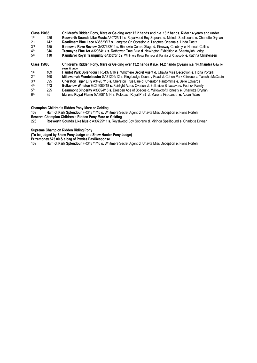|                 | <b>Class 15085</b> | Children's Ridden Pony, Mare or Gelding over 12.2 hands and n.e. 13.2 hands, Rider 14 years and under                        |
|-----------------|--------------------|------------------------------------------------------------------------------------------------------------------------------|
| 1st             | 226                | Rosworth Sounds Like Music A30725/11 s. Royalwood Boy Soprano d. Mirinda Spellbound e. Charlotte Drynan                      |
| 2 <sub>nd</sub> | 142                | Readimarr Blue Lace A35529/17 s. Langtree On Occasion d. Langtree Oceana e. Linda Daetz                                      |
| 3rd             | 185                | Binnowie Rave Review GA27682/14 s. Binnowie Centre Stage d. Kirreway Celebrity e. Hannah Collins                             |
| 4th             | 346                | Tremayne Fine Art A32964/14 s. Rathowen True Blue d. Newington Exhibition e. Shantaylah Lodge                                |
| 5 <sup>th</sup> | 118                | Kamilaroi Royal Tranquility GA33675/15 s. Whitmere Royal Rumour d. Kamilaroi Rhapsody e. Katrina Christensen                 |
|                 | <b>Class 15086</b> | Children's Ridden Pony, Mare or Gelding over 13.2 hands & n.e. 14.2 hands (3years n.e. 14.1 hands) Rider 16<br>vears & under |
| 1st             | 109                | Hamlot Park Splendour FR34371/16 s. Whitmere Secret Agent d. Uhavta Miss Deception e. Fiona Portelli                         |
| 2 <sub>nd</sub> | 160                | Millawarrah Mendelssohn GA31209/12 s. King Lodge Country Road d. Cohen Park Clinique e. Tanisha McCcuin                      |
| 3rd             | 395                | Cheraton Tiger Lilly A34287/15 s. Cheraton True Blue d. Cheraton Pantomime e. Belle Edwards                                  |
| 4 <sup>th</sup> | 473                | Bellaview Winston GC36080/18 s. Fairlight Acres Ovation d. Bellaview Balaclava e. Fedrick Family                             |
| 5 <sup>th</sup> | 225                | Beaumont Sincerity A33694/15 s. Dresden Ace of Spades d. Willowcroft Honesty e. Charlotte Drynan                             |
| 6 <sup>th</sup> | 35                 | Marena Royal Flame GA30811/14 s. Kolbeach Royal Print d. Marena Firedance e. Aolani Ware                                     |

**Champion Children's Ridden Pony Mare or Gelding** 

109 **Hamlot Park Splendour** FR34371/16 **s.** Whitmere Secret Agent **d.** Uhavta Miss Deception **e.** Fiona Portelli

**Reserve Champion Children's Ridden Pony Mare or Gelding** 

226 **Rosworth Sounds Like Music** A30725/11 **s.** Royalwood Boy Soprano **d.** Mirinda Spellbound **e.** Charlotte Drynan

**Supreme Champion Ridden Riding Pony**

**(To be judged by Show Pony Judge and Show Hunter Pony Judge)**

**Prizemoney \$75.00 & a bag of Prydes EasiResponse**

109 **Hamlot Park Splendour** FR34371/16 **s.** Whitmere Secret Agent **d.** Uhavta Miss Deception **e.** Fiona Portelli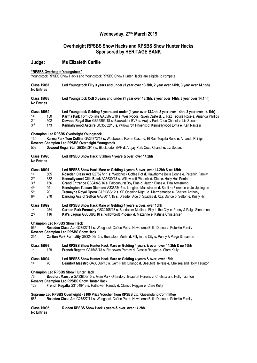# **Wednesday, 27th March 2019**

# **Overheight RPSBS Show Hacks and RPSBS Show Hunter Hacks Sponsored by HERITAGE BANK**

# **Judge: Ms Elizateth Carlile**

**"RPSBS Overheight Youngstock"** 

Youngstock RPSBS Show Hacks and Youngstock RPSBS Show Hunter Hacks are eligible to compete

| <b>Class 15087</b><br><b>No Entries</b>                                                                                  |                                      | Led Youngstock Filly 3 years and under (1 year over 13.3hh, 2 year over 14hh, 3 year over 14.1hh)                                                                                                                                                                                                                                                                                                                                                                                                                                                                                                                                                            |  |  |  |  |
|--------------------------------------------------------------------------------------------------------------------------|--------------------------------------|--------------------------------------------------------------------------------------------------------------------------------------------------------------------------------------------------------------------------------------------------------------------------------------------------------------------------------------------------------------------------------------------------------------------------------------------------------------------------------------------------------------------------------------------------------------------------------------------------------------------------------------------------------------|--|--|--|--|
| <b>Class 15088</b><br><b>No Entries</b>                                                                                  |                                      | Led Youngstock Colt 3 years and under (1 year over 13.3hh, 2 year over 14hh, 3 year over 14.1hh)                                                                                                                                                                                                                                                                                                                                                                                                                                                                                                                                                             |  |  |  |  |
| <b>Class 15089</b><br>1 <sup>st</sup><br>2 <sub>nd</sub><br>3 <sub>rd</sub>                                              | 150<br>502<br>173                    | Led Youngstock Gelding 3 years and under (1 year over 13.3hh, 2 year over 14hh, 3 year over 14.1hh)<br>Karma Park Tom Collins GA35873/18 s. Westwoods Raven Caste d. El Raz Tequila Rose e. Amanda Phillips<br>Dewood Regal Star GB35853/18 s. Blackadder BVF d. Araiay Park Coco Chanel e. Liz Spears<br>Kennallywood Astaire GC35632/18 s. Willowcroft Phoenix d. Kennallywood Evita e. Karl Nastasi                                                                                                                                                                                                                                                       |  |  |  |  |
| 150<br>502                                                                                                               |                                      | <b>Champion Led RPSBS Overheight Youngstock</b><br>Karma Park Tom Collins GA35873/18 s. Westwoods Raven Caste d. El Raz Tequila Rose e. Amanda Phillips<br>Reserve Champion Led RPSBS Overheight Youngstock<br>Dewood Regal Star GB35853/18 s. Blackadder BVF d. Arajay Park Coco Chanel e. Liz Spears                                                                                                                                                                                                                                                                                                                                                       |  |  |  |  |
| <b>Class 15090</b><br><b>No Entries</b>                                                                                  |                                      | Led RPSBS Show Hack, Stallion 4 years & over, over 14.2hh                                                                                                                                                                                                                                                                                                                                                                                                                                                                                                                                                                                                    |  |  |  |  |
| <b>Class 15091</b><br>1 <sup>st</sup><br>2 <sub>nd</sub><br>3 <sub>rd</sub><br>4th<br>5 <sup>th</sup><br>6 <sup>th</sup> | 565<br>382<br>156<br>99<br>20<br>270 | Led RPSBS Show Hack Mare or Gelding 4 years & over, over 14.2hh & ne 15hh<br>Roseden Class Act G27527/11 s. Wedgnock Coffee Pot d. Hawthorne Bella Donna e. Peterkin Family<br>Kennallywood Cilla Black A35630/18 s. Willowcroft Phoenix d. Dice e. Holly Hall Perrin<br>Grand Entrance GB34346/16 s. Falconhurst Boy Blue d. Jazz n Blues e. Tina Armstrong<br>Kensington Tuscan Diamond A33853/15 s. Langtree Mainstream d. Sanlirra Florence e. Jo Uppington<br>Tremayne Royal Opera GA31368/12 s. SP Opening Night d. Manziemadee e. Charlee Anthony<br>Dancing Ace of Sefton GA33011/15 s. Dresden Ace of Spades d. XL's Dance of Sefton e. Kristy Hill |  |  |  |  |
| <b>Class 15092</b><br>1 <sup>st</sup><br>2 <sub>nd</sub>                                                                 | 254<br>116                           | Led RPSBS Show Hack Mare or Gelding 4 years & over, over 15hh<br>Carlton Park Formality GB32406/13 s. Bundaleer Merlin d. Filly in the City e. Penny & Paige Sinnamon<br>Kat's Jaguar GB35898/18 s. Willowcroft Phoenix d. Mazarine e. Katrina Christensen                                                                                                                                                                                                                                                                                                                                                                                                   |  |  |  |  |
| 565<br>254                                                                                                               |                                      | <b>Champion Led RPSBS Show Hack</b><br>Roseden Class Act G27527/11 s. Wedgnock Coffee Pot d. Hawthorne Bella Donna e. Peterkin Family<br><b>Reserve Champion Led RPSBS Show Hack</b><br>Carlton Park Formality GB32406/13 s. Bundaleer Merlin d. Filly in the City e. Penny & Paige Sinnamon                                                                                                                                                                                                                                                                                                                                                                 |  |  |  |  |
| <b>Class 15093</b><br>1st                                                                                                | 129                                  | Led RPSBS Show Hunter Hack Mare or Gelding 4 years & over, over 14.2hh & ne 15hh<br>French Regatta G31548/13 s. Rathowen Parody d. Classic Reggae e. Clare Kelly                                                                                                                                                                                                                                                                                                                                                                                                                                                                                             |  |  |  |  |
| <b>Class 15094</b><br>1st                                                                                                | 76                                   | Led RPSBS Show Hunter Hack Mare or Gelding 4 years & over, over 15hh<br>Beaufort Maestro GA33866/15 s. Gem Park Orlando d. Beaufort Heiress e. Chelsea and Holly Taunton                                                                                                                                                                                                                                                                                                                                                                                                                                                                                     |  |  |  |  |
| 76<br>129                                                                                                                |                                      | <b>Champion Led RPSBS Show Hunter Hack</b><br>Beaufort Maestro GA33866/15 s. Gem Park Orlando d. Beaufort Heiress e. Chelsea and Holly Taunton<br><b>Reserve Champion Led RPSBS Show Hunter Hack</b><br>French Regatta G31548/13 s. Rathowen Parody d. Classic Reggae e. Clare Kelly                                                                                                                                                                                                                                                                                                                                                                         |  |  |  |  |
| 565                                                                                                                      |                                      | Supreme Led RPSBS Overheight - \$100 Prize Voucher from RPSBS Ltd. Queensland Committee<br>Roseden Class Act G27527/11 s. Wedgnock Coffee Pot d. Hawthorne Bella Donna e. Peterkin Family                                                                                                                                                                                                                                                                                                                                                                                                                                                                    |  |  |  |  |

**Class 15095 Ridden RPSBS Show Hack 4 years & over, over 14.2hh No Entries**